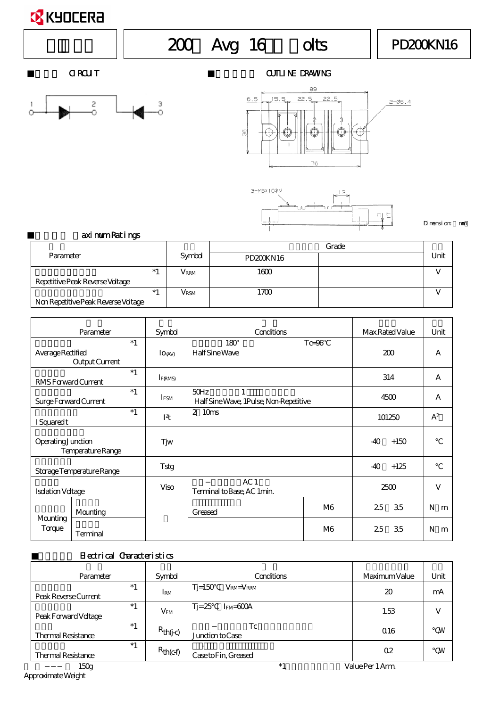## **X** KYOCERA

# $200$  Avg 16 olts || PD200KN16



#### OIRCUIT CIRCUIT CIRCUIT CIRCUIT CIRCUIT CIRCUIT CIRCUIT CIRCUIT CIRCUIT CIRCUIT CIRCUIT CIRCUIT CIRCUIT CIRCUIT





 $\Sigma$ nension: mm

| aximum Ratings |  |
|----------------|--|
|----------------|--|

|                                     |               | Grade            |  |      |
|-------------------------------------|---------------|------------------|--|------|
| Parameter                           | Symbol        | <b>PD200KN16</b> |  | Unit |
| $*1$                                | $V_{\rm RRM}$ | 1600             |  |      |
| Repetitive Peak Reverse Voltage     |               |                  |  |      |
| $*1$                                | $V_{\rm RSM}$ | 1700             |  |      |
| Non Repetitive Peak Reverse Voltage |               |                  |  |      |

|                              | Parameter                     | Symbol           | Conditions                                          |                | Max Rated Value | Unit   |
|------------------------------|-------------------------------|------------------|-----------------------------------------------------|----------------|-----------------|--------|
| Average Rectified            | $*1$<br><b>Output Current</b> | $I_0$ (AV)       | $180^\circ$<br><b>Half Sine Wave</b>                | $Tc=96$        | 200             | A      |
| RMS Forward Current          | $*1$                          | $I_{F(RMS)}$     |                                                     |                | 314             | A      |
| <b>Surge Forward Current</b> | $*1$                          | IFSM             | 50Hz<br>1<br>Half Sine Wave, 1Pulse, Non-Repetitive |                | 4500            | A      |
| I Squared t                  | $*1$                          | I <sup>2</sup> t | $\mathbf{2}$<br>10 <sub>ms</sub>                    |                | 101250          | $A^2$  |
| <b>Operating Junction</b>    | Temperature Range             | Tjw              |                                                     |                | -40<br>$+150$   |        |
|                              | Storage Temperature Range     | Tstg             |                                                     |                | -40<br>$+125$   |        |
| <b>Isolation Voltage</b>     |                               | <b>Viso</b>      | AC1<br>Terminal to Base, AC 1min.                   |                | 2500            | V      |
| <b>Mounting</b><br>Torque    | <b>Mounting</b>               |                  | Greased                                             | M <sub>6</sub> | 2.5<br>3.5      | N<br>m |
|                              | <b>Terminal</b>               |                  |                                                     | M <sub>6</sub> | 2.5<br>3.5      | N<br>m |

### Electrical Characteristics

| Parameter                         | Symbol        | Conditions                                 | Maximum Value    | Unit      |
|-----------------------------------|---------------|--------------------------------------------|------------------|-----------|
| $*1$<br>Peak Reverse Current      | IRM           | $Ti=150$<br>$V_{\text{RM}}=V_{\text{RRM}}$ | 20               | mA        |
| $*1$<br>Peak Forward Voltage      | $\rm V_{FM}$  | $T = 25$<br>$I_{FM}=600A$                  | 1.53             | V         |
| $*1$<br><b>Thermal Resistance</b> | $R_{th(j-c)}$ | Tc<br>Junction to Case                     | 0.16             | <b>NV</b> |
| $*1$<br><b>Thermal Resistance</b> | $R_{th(c-f)}$ | -<br>Case to Fin, Greased                  | $0.2\,$          | <b>N</b>  |
| 150 <sub>g</sub>                  |               | $*1$                                       | Value Per 1 Arm. |           |

Approximate Weight